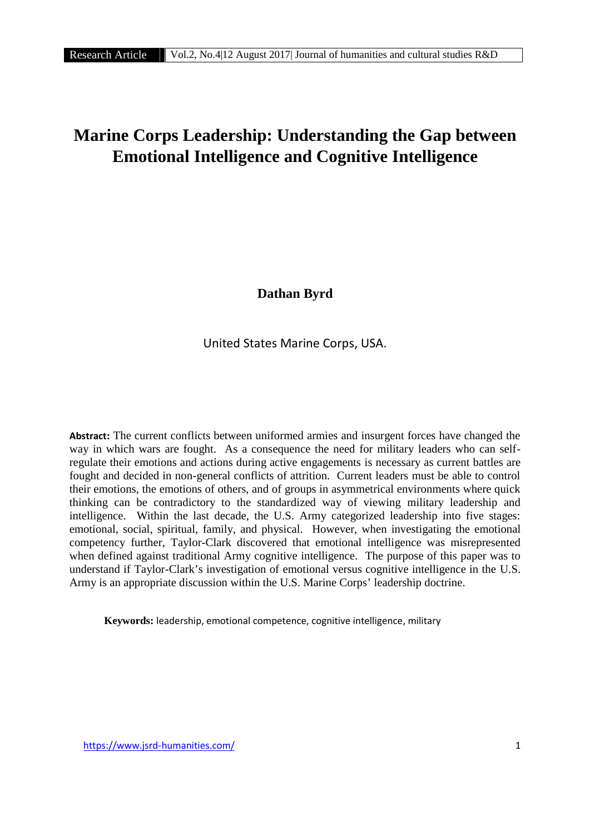# **Marine Corps Leadership: Understanding the Gap between Emotional Intelligence and Cognitive Intelligence**

**Dathan Byrd**

United States Marine Corps, USA.

**Abstract:** The current conflicts between uniformed armies and insurgent forces have changed the way in which wars are fought. As a consequence the need for military leaders who can selfregulate their emotions and actions during active engagements is necessary as current battles are fought and decided in non-general conflicts of attrition. Current leaders must be able to control their emotions, the emotions of others, and of groups in asymmetrical environments where quick thinking can be contradictory to the standardized way of viewing military leadership and intelligence. Within the last decade, the U.S. Army categorized leadership into five stages: emotional, social, spiritual, family, and physical. However, when investigating the emotional competency further, Taylor-Clark discovered that emotional intelligence was misrepresented when defined against traditional Army cognitive intelligence. The purpose of this paper was to understand if Taylor-Clark's investigation of emotional versus cognitive intelligence in the U.S. Army is an appropriate discussion within the U.S. Marine Corps' leadership doctrine.

**Keywords:** leadership, emotional competence, cognitive intelligence, military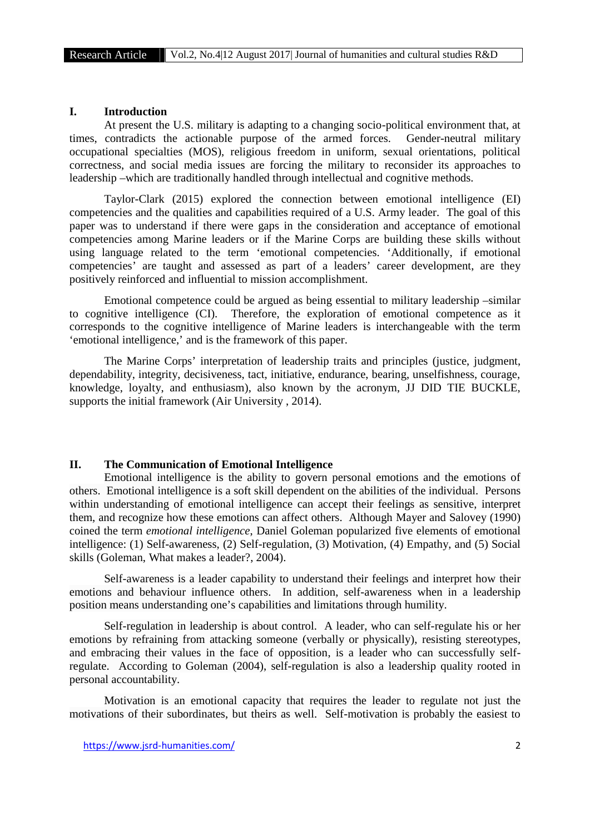#### **I. Introduction**

At present the U.S. military is adapting to a changing socio-political environment that, at times, contradicts the actionable purpose of the armed forces. Gender-neutral military occupational specialties (MOS), religious freedom in uniform, sexual orientations, political correctness, and social media issues are forcing the military to reconsider its approaches to leadership –which are traditionally handled through intellectual and cognitive methods.

Taylor-Clark (2015) explored the connection between emotional intelligence (EI) competencies and the qualities and capabilities required of a U.S. Army leader. The goal of this paper was to understand if there were gaps in the consideration and acceptance of emotional competencies among Marine leaders or if the Marine Corps are building these skills without using language related to the term 'emotional competencies. 'Additionally, if emotional competencies' are taught and assessed as part of a leaders' career development, are they positively reinforced and influential to mission accomplishment.

Emotional competence could be argued as being essential to military leadership –similar to cognitive intelligence (CI). Therefore, the exploration of emotional competence as it corresponds to the cognitive intelligence of Marine leaders is interchangeable with the term 'emotional intelligence,' and is the framework of this paper.

The Marine Corps' interpretation of leadership traits and principles (justice, judgment, dependability, integrity, decisiveness, tact, initiative, endurance, bearing, unselfishness, courage, knowledge, loyalty, and enthusiasm), also known by the acronym, JJ DID TIE BUCKLE, supports the initial framework (Air University , 2014).

#### **II. The Communication of Emotional Intelligence**

Emotional intelligence is the ability to govern personal emotions and the emotions of others. Emotional intelligence is a soft skill dependent on the abilities of the individual. Persons within understanding of emotional intelligence can accept their feelings as sensitive, interpret them, and recognize how these emotions can affect others. Although Mayer and Salovey (1990) coined the term *emotional intelligence*, Daniel Goleman popularized five elements of emotional intelligence: (1) Self-awareness, (2) Self-regulation, (3) Motivation, (4) Empathy, and (5) Social skills (Goleman, What makes a leader?, 2004).

Self-awareness is a leader capability to understand their feelings and interpret how their emotions and behaviour influence others. In addition, self-awareness when in a leadership position means understanding one's capabilities and limitations through humility.

Self-regulation in leadership is about control. A leader, who can self-regulate his or her emotions by refraining from attacking someone (verbally or physically), resisting stereotypes, and embracing their values in the face of opposition, is a leader who can successfully selfregulate. According to Goleman (2004), self-regulation is also a leadership quality rooted in personal accountability.

Motivation is an emotional capacity that requires the leader to regulate not just the motivations of their subordinates, but theirs as well. Self-motivation is probably the easiest to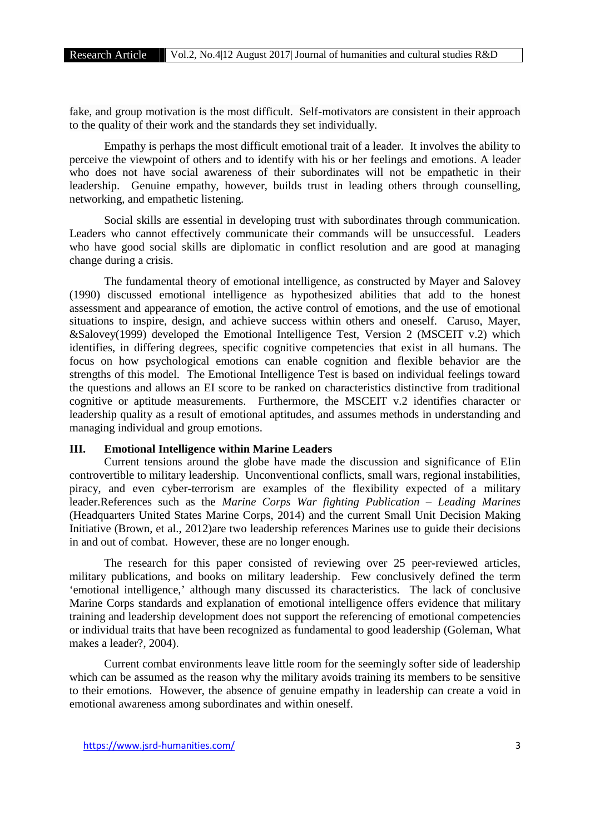fake, and group motivation is the most difficult. Self-motivators are consistent in their approach to the quality of their work and the standards they set individually.

Empathy is perhaps the most difficult emotional trait of a leader. It involves the ability to perceive the viewpoint of others and to identify with his or her feelings and emotions. A leader who does not have social awareness of their subordinates will not be empathetic in their leadership. Genuine empathy, however, builds trust in leading others through counselling, networking, and empathetic listening.

Social skills are essential in developing trust with subordinates through communication. Leaders who cannot effectively communicate their commands will be unsuccessful. Leaders who have good social skills are diplomatic in conflict resolution and are good at managing change during a crisis.

The fundamental theory of emotional intelligence, as constructed by Mayer and Salovey (1990) discussed emotional intelligence as hypothesized abilities that add to the honest assessment and appearance of emotion, the active control of emotions, and the use of emotional situations to inspire, design, and achieve success within others and oneself. Caruso, Mayer, &Salovey(1999) developed the Emotional Intelligence Test, Version 2 (MSCEIT v.2) which identifies, in differing degrees, specific cognitive competencies that exist in all humans. The focus on how psychological emotions can enable cognition and flexible behavior are the strengths of this model. The Emotional Intelligence Test is based on individual feelings toward the questions and allows an EI score to be ranked on characteristics distinctive from traditional cognitive or aptitude measurements. Furthermore, the MSCEIT v.2 identifies character or leadership quality as a result of emotional aptitudes, and assumes methods in understanding and managing individual and group emotions.

# **III. Emotional Intelligence within Marine Leaders**

Current tensions around the globe have made the discussion and significance of EIin controvertible to military leadership. Unconventional conflicts, small wars, regional instabilities, piracy, and even cyber-terrorism are examples of the flexibility expected of a military leader.References such as the *Marine Corps War fighting Publication – Leading Marines* (Headquarters United States Marine Corps, 2014) and the current Small Unit Decision Making Initiative (Brown, et al., 2012)are two leadership references Marines use to guide their decisions in and out of combat. However, these are no longer enough.

The research for this paper consisted of reviewing over 25 peer-reviewed articles, military publications, and books on military leadership. Few conclusively defined the term 'emotional intelligence,' although many discussed its characteristics. The lack of conclusive Marine Corps standards and explanation of emotional intelligence offers evidence that military training and leadership development does not support the referencing of emotional competencies or individual traits that have been recognized as fundamental to good leadership (Goleman, What makes a leader?, 2004).

Current combat environments leave little room for the seemingly softer side of leadership which can be assumed as the reason why the military avoids training its members to be sensitive to their emotions. However, the absence of genuine empathy in leadership can create a void in emotional awareness among subordinates and within oneself.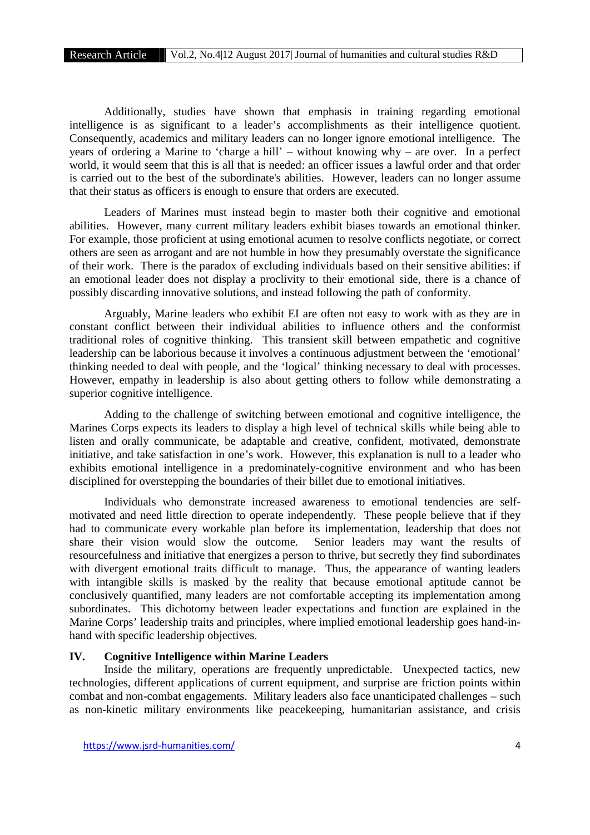Additionally, studies have shown that emphasis in training regarding emotional intelligence is as significant to a leader's accomplishments as their intelligence quotient. Consequently, academics and military leaders can no longer ignore emotional intelligence. The years of ordering a Marine to 'charge a hill' – without knowing why – are over. In a perfect world, it would seem that this is all that is needed: an officer issues a lawful order and that order is carried out to the best of the subordinate's abilities. However, leaders can no longer assume that their status as officers is enough to ensure that orders are executed.

Leaders of Marines must instead begin to master both their cognitive and emotional abilities. However, many current military leaders exhibit biases towards an emotional thinker. For example, those proficient at using emotional acumen to resolve conflicts negotiate, or correct others are seen as arrogant and are not humble in how they presumably overstate the significance of their work. There is the paradox of excluding individuals based on their sensitive abilities: if an emotional leader does not display a proclivity to their emotional side, there is a chance of possibly discarding innovative solutions, and instead following the path of conformity.

Arguably, Marine leaders who exhibit EI are often not easy to work with as they are in constant conflict between their individual abilities to influence others and the conformist traditional roles of cognitive thinking. This transient skill between empathetic and cognitive leadership can be laborious because it involves a continuous adjustment between the 'emotional' thinking needed to deal with people, and the 'logical' thinking necessary to deal with processes. However, empathy in leadership is also about getting others to follow while demonstrating a superior cognitive intelligence.

Adding to the challenge of switching between emotional and cognitive intelligence, the Marines Corps expects its leaders to display a high level of technical skills while being able to listen and orally communicate, be adaptable and creative, confident, motivated, demonstrate initiative, and take satisfaction in one's work. However, this explanation is null to a leader who exhibits emotional intelligence in a predominately-cognitive environment and who has been disciplined for overstepping the boundaries of their billet due to emotional initiatives.

Individuals who demonstrate increased awareness to emotional tendencies are self motivated and need little direction to operate independently. These people believe that if they had to communicate every workable plan before its implementation, leadership that does not share their vision would slow the outcome. Senior leaders may want the results of resourcefulness and initiative that energizes a person to thrive, but secretly they find subordinates with divergent emotional traits difficult to manage. Thus, the appearance of wanting leaders with intangible skills is masked by the reality that because emotional aptitude cannot be conclusively quantified, many leaders are not comfortable accepting its implementation among subordinates. This dichotomy between leader expectations and function are explained in the Marine Corps' leadership traits and principles, where implied emotional leadership goes hand-in hand with specific leadership objectives.

# **IV. Cognitive Intelligence within Marine Leaders**

Inside the military, operations are frequently unpredictable. Unexpected tactics, new technologies, different applications of current equipment, and surprise are friction points within combat and non-combat engagements. Military leaders also face unanticipated challenges – such as non-kinetic military environments like peacekeeping, humanitarian assistance, and crisis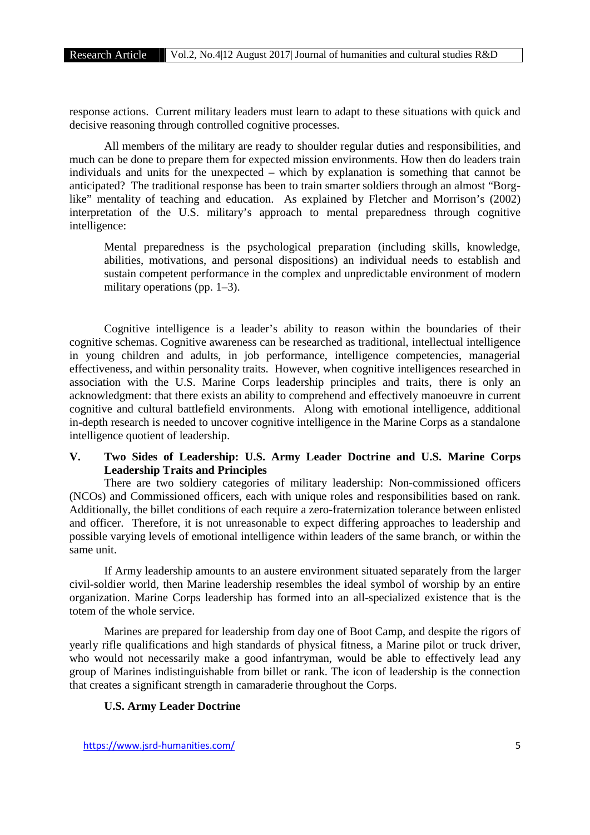response actions. Current military leaders must learn to adapt to these situations with quick and decisive reasoning through controlled cognitive processes.

All members of the military are ready to shoulder regular duties and responsibilities, and much can be done to prepare them for expected mission environments. How then do leaders train individuals and units for the unexpected – which by explanation is something that cannot be anticipated? The traditional response has been to train smarter soldiers through an almost "Borglike" mentality of teaching and education. As explained by Fletcher and Morrison's (2002) interpretation of the U.S. military's approach to mental preparedness through cognitive intelligence:

Mental preparedness is the psychological preparation (including skills, knowledge, abilities, motivations, and personal dispositions) an individual needs to establish and sustain competent performance in the complex and unpredictable environment of modern military operations (pp. 1–3).

Cognitive intelligence is a leader's ability to reason within the boundaries of their cognitive schemas. Cognitive awareness can be researched as traditional, intellectual intelligence in young children and adults, in job performance, intelligence competencies, managerial effectiveness, and within personality traits. However, when cognitive intelligences researched in association with the U.S. Marine Corps leadership principles and traits, there is only an acknowledgment: that there exists an ability to comprehend and effectively manoeuvre in current cognitive and cultural battlefield environments. Along with emotional intelligence, additional in-depth research is needed to uncover cognitive intelligence in the Marine Corps as a standalone intelligence quotient of leadership.

# **V. Two Sides of Leadership: U.S. Army Leader Doctrine and U.S. Marine Corps Leadership Traits and Principles**

There are two soldiery categories of military leadership: Non-commissioned officers (NCOs) and Commissioned officers, each with unique roles and responsibilities based on rank. Additionally, the billet conditions of each require a zero-fraternization tolerance between enlisted and officer. Therefore, it is not unreasonable to expect differing approaches to leadership and possible varying levels of emotional intelligence within leaders of the same branch, or within the same unit.

If Army leadership amounts to an austere environment situated separately from the larger civil-soldier world, then Marine leadership resembles the ideal symbol of worship by an entire organization. Marine Corps leadership has formed into an all-specialized existence that is the totem of the whole service.

Marines are prepared for leadership from day one of Boot Camp, and despite the rigors of yearly rifle qualifications and high standards of physical fitness, a Marine pilot or truck driver, who would not necessarily make a good infantryman, would be able to effectively lead any group of Marines indistinguishable from billet or rank. The icon of leadership is the connection that creates a significant strength in camaraderie throughout the Corps.

# **U.S. Army Leader Doctrine**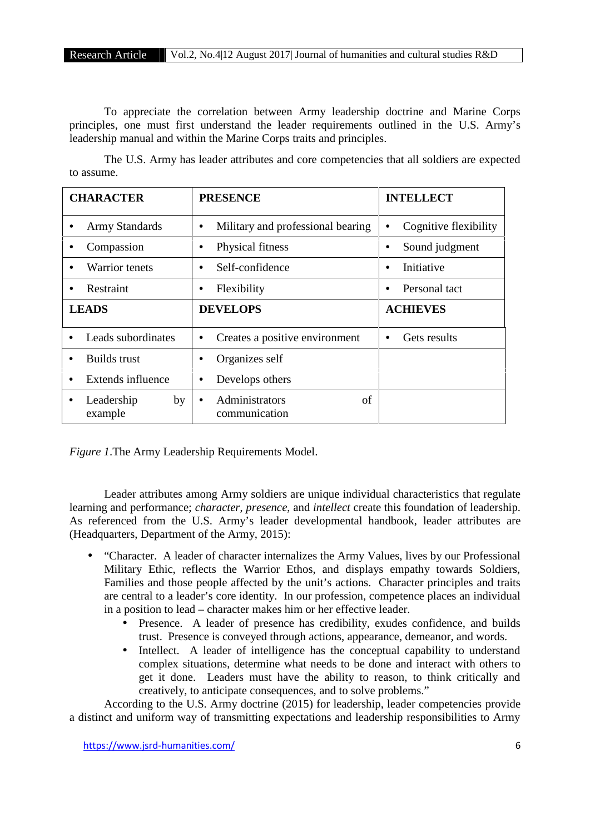To appreciate the correlation between Army leadership doctrine and Marine Corps principles, one must first understand the leader requirements outlined in the U.S. Army's leadership manual and within the Marine Corps traits and principles.

The U.S. Army has leader attributes and core competencies that all soldiers are expected to assume.

| <b>CHARACTER</b>            | <b>PRESENCE</b>                            | <b>INTELLECT</b>           |
|-----------------------------|--------------------------------------------|----------------------------|
| <b>Army Standards</b>       | Military and professional bearing<br>٠     | Cognitive flexibility<br>٠ |
| Compassion                  | Physical fitness<br>٠                      | Sound judgment<br>٠        |
| <b>Warrior</b> tenets       | Self-confidence<br>$\bullet$               | Initiative<br>$\bullet$    |
| Restraint                   | Flexibility<br>٠                           | Personal tact              |
| <b>LEADS</b>                | <b>DEVELOPS</b>                            | <b>ACHIEVES</b>            |
| Leads subordinates          | Creates a positive environment<br>٠        | Gets results<br>٠          |
| Builds trust                | Organizes self                             |                            |
| Extends influence           | Develops others<br>٠                       |                            |
| Leadership<br>by<br>example | Administrators<br>of<br>٠<br>communication |                            |

*Figure 1*.The Army Leadership Requirements Model.

Leader attributes among Army soldiers are unique individual characteristics that regulate learning and performance; *character*, *presence*, and *intellect* create this foundation of leadership. As referenced from the U.S. Army's leader developmental handbook, leader attributes are (Headquarters, Department of the Army, 2015):

- "Character. A leader of character internalizes the Army Values, lives by our Professional Military Ethic, reflects the Warrior Ethos, and displays empathy towards Soldiers, Families and those people affected by the unit's actions. Character principles and traits are central to a leader's core identity. In our profession, competence places an individual in a position to lead – character makes him or her effective leader.
	- Presence. A leader of presence has credibility, exudes confidence, and builds trust. Presence is conveyed through actions, appearance, demeanor, and words.
	- Intellect. A leader of intelligence has the conceptual capability to understand complex situations, determine what needs to be done and interact with others to get it done. Leaders must have the ability to reason, to think critically and creatively, to anticipate consequences, and to solve problems."

According to the U.S. Army doctrine (2015) for leadership, leader competencies provide a distinct and uniform way of transmitting expectations and leadership responsibilities to Army

https://www.jsrd-humanities.com/ 6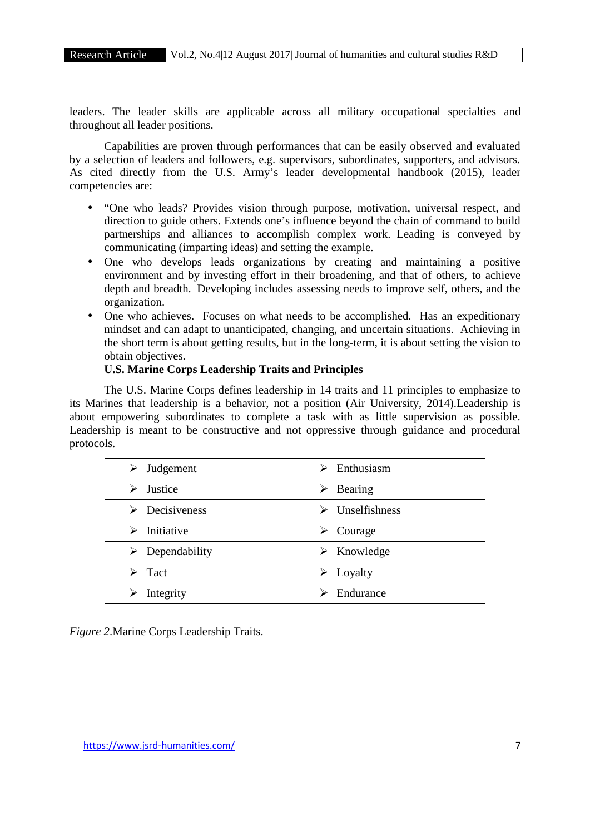leaders. The leader skills are applicable across all military occupational specialties and throughout all leader positions.

Capabilities are proven through performances that can be easily observed and evaluated by a selection of leaders and followers, e.g. supervisors, subordinates, supporters, and advisors. As cited directly from the U.S. Army's leader developmental handbook (2015), leader competencies are:

- "One who leads? Provides vision through purpose, motivation, universal respect, and direction to guide others. Extends one's influence beyond the chain of command to build partnerships and alliances to accomplish complex work. Leading is conveyed by communicating (imparting ideas) and setting the example.
- One who develops leads organizations by creating and maintaining a positive environment and by investing effort in their broadening, and that of others, to achieve depth and breadth. Developing includes assessing needs to improve self, others, and the organization.
- One who achieves. Focuses on what needs to be accomplished. Has an expeditionary mindset and can adapt to unanticipated, changing, and uncertain situations. Achieving in the short term is about getting results, but in the long-term, it is about setting the vision to obtain objectives.

# **U.S. Marine Corps Leadership Traits and Principles**

The U.S. Marine Corps defines leadership in 14 traits and 11 principles to emphasize to its Marines that leadership is a behavior, not a position (Air University, 2014).Leadership is about empowering subordinates to complete a task with as little supervision as possible. Leadership is meant to be constructive and not oppressive through guidance and procedural protocols.

| $\triangleright$ Judgement     | Enthusiasm<br>⋗                |
|--------------------------------|--------------------------------|
| Justice<br>⋗                   | Bearing<br>➤                   |
| $\triangleright$ Decisiveness  | $\triangleright$ Unselfishness |
| Initiative<br>⋗                | Courage<br>➤                   |
| $\triangleright$ Dependability | $\triangleright$ Knowledge     |
| Tact<br>↘                      | $\triangleright$ Loyalty       |
| Integrity                      | Endurance                      |

*Figure 2*.Marine Corps Leadership Traits.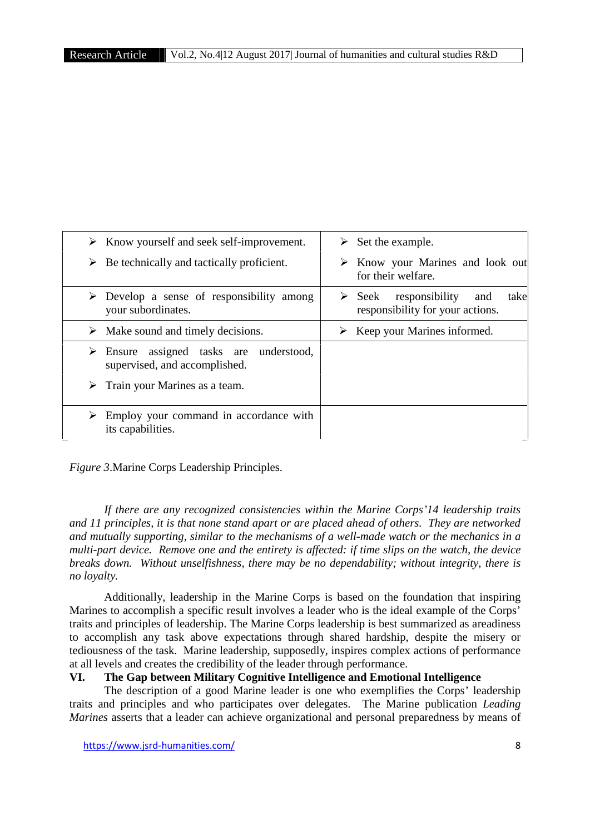| $\triangleright$ Know yourself and seek self-improvement.                               | $\triangleright$ Set the example.                                                          |
|-----------------------------------------------------------------------------------------|--------------------------------------------------------------------------------------------|
| $\triangleright$ Be technically and tactically proficient.                              | $\triangleright$ Know your Marines and look out<br>for their welfare.                      |
| $\triangleright$ Develop a sense of responsibility among<br>your subordinates.          | responsibility<br>$\triangleright$ Seek<br>take<br>and<br>responsibility for your actions. |
| $\triangleright$ Make sound and timely decisions.                                       | $\triangleright$ Keep your Marines informed.                                               |
| $\triangleright$ Ensure assigned tasks are understood,<br>supervised, and accomplished. |                                                                                            |
| $\triangleright$ Train your Marines as a team.                                          |                                                                                            |
| Employ your command in accordance with<br>its capabilities.                             |                                                                                            |

*Figure 3*.Marine Corps Leadership Principles.

*If there are any recognized consistencies within the Marine Corps'14 leadership traits and 11 principles, it is that none stand apart or are placed ahead of others. They are networked and mutually supporting, similar to the mechanisms of a well-made watch or the mechanics in a multi-part device. Remove one and the entirety is affected: if time slips on the watch, the device breaks down. Without unselfishness, there may be no dependability; without integrity, there is no loyalty.*

Additionally, leadership in the Marine Corps is based on the foundation that inspiring Marines to accomplish a specific result involves a leader who is the ideal example of the Corps' traits and principles of leadership. The Marine Corps leadership is best summarized as areadiness to accomplish any task above expectations through shared hardship, despite the misery or tediousness of the task. Marine leadership, supposedly, inspires complex actions of performance at all levels and creates the credibility of the leader through performance.

# **VI. The Gap between Military Cognitive Intelligence and Emotional Intelligence**

The description of a good Marine leader is one who exemplifies the Corps' leadership traits and principles and who participates over delegates. The Marine publication *Leading Marines* asserts that a leader can achieve organizational and personal preparedness by means of

https://www.jsrd-humanities.com/ 8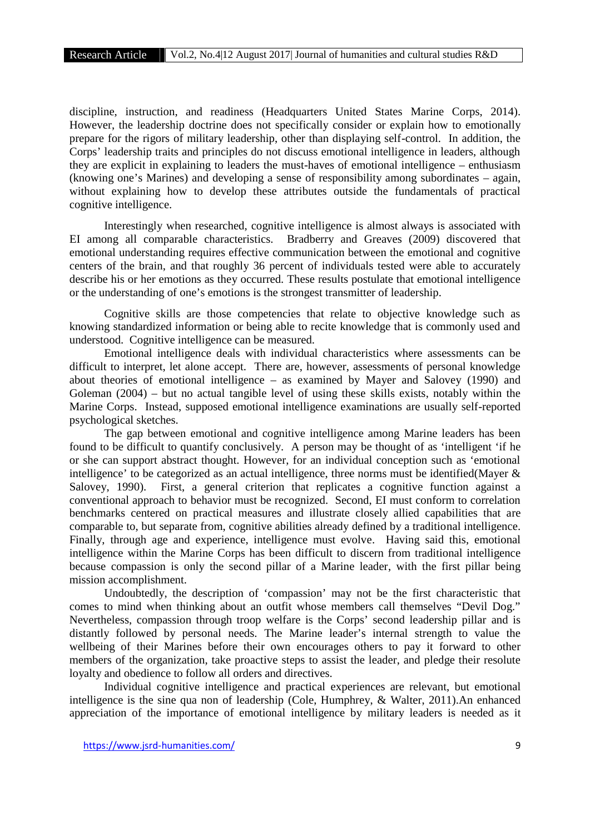discipline, instruction, and readiness (Headquarters United States Marine Corps, 2014). However, the leadership doctrine does not specifically consider or explain how to emotionally prepare for the rigors of military leadership, other than displaying self-control. In addition, the Corps' leadership traits and principles do not discuss emotional intelligence in leaders, although they are explicit in explaining to leaders the must-haves of emotional intelligence – enthusiasm (knowing one's Marines) and developing a sense of responsibility among subordinates – again, without explaining how to develop these attributes outside the fundamentals of practical cognitive intelligence.

Interestingly when researched, cognitive intelligence is almost always is associated with EI among all comparable characteristics. Bradberry and Greaves (2009) discovered that emotional understanding requires effective communication between the emotional and cognitive centers of the brain, and that roughly 36 percent of individuals tested were able to accurately describe his or her emotions as they occurred. These results postulate that emotional intelligence or the understanding of one's emotions is the strongest transmitter of leadership.

Cognitive skills are those competencies that relate to objective knowledge such as knowing standardized information or being able to recite knowledge that is commonly used and understood. Cognitive intelligence can be measured.

Emotional intelligence deals with individual characteristics where assessments can be difficult to interpret, let alone accept. There are, however, assessments of personal knowledge about theories of emotional intelligence – as examined by Mayer and Salovey (1990) and Goleman (2004) – but no actual tangible level of using these skills exists, notably within the Marine Corps. Instead, supposed emotional intelligence examinations are usually self-reported psychological sketches.

The gap between emotional and cognitive intelligence among Marine leaders has been found to be difficult to quantify conclusively. A person may be thought of as 'intelligent 'if he or she can support abstract thought. However, for an individual conception such as 'emotional intelligence' to be categorized as an actual intelligence, three norms must be identified(Mayer & Salovey, 1990). First, a general criterion that replicates a cognitive function against a conventional approach to behavior must be recognized. Second, EI must conform to correlation benchmarks centered on practical measures and illustrate closely allied capabilities that are comparable to, but separate from, cognitive abilities already defined by a traditional intelligence. Finally, through age and experience, intelligence must evolve. Having said this, emotional intelligence within the Marine Corps has been difficult to discern from traditional intelligence because compassion is only the second pillar of a Marine leader, with the first pillar being mission accomplishment.

Undoubtedly, the description of 'compassion' may not be the first characteristic that comes to mind when thinking about an outfit whose members call themselves "Devil Dog." Nevertheless, compassion through troop welfare is the Corps' second leadership pillar and is distantly followed by personal needs. The Marine leader's internal strength to value the wellbeing of their Marines before their own encourages others to pay it forward to other members of the organization, take proactive steps to assist the leader, and pledge their resolute loyalty and obedience to follow all orders and directives.

Individual cognitive intelligence and practical experiences are relevant, but emotional intelligence is the sine qua non of leadership (Cole, Humphrey, & Walter, 2011).An enhanced appreciation of the importance of emotional intelligence by military leaders is needed as it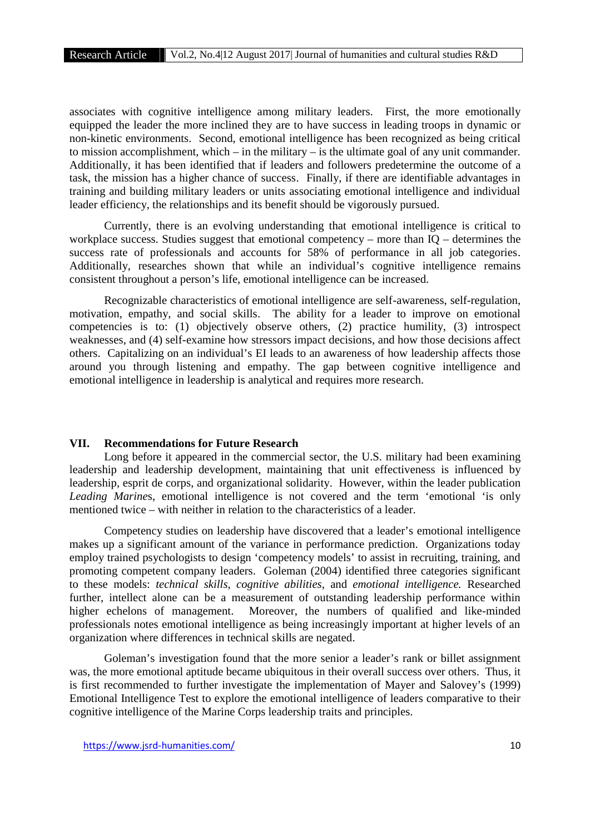associates with cognitive intelligence among military leaders. First, the more emotionally equipped the leader the more inclined they are to have success in leading troops in dynamic or non-kinetic environments. Second, emotional intelligence has been recognized as being critical to mission accomplishment, which – in the military – is the ultimate goal of any unit commander. Additionally, it has been identified that if leaders and followers predetermine the outcome of a task, the mission has a higher chance of success. Finally, if there are identifiable advantages in training and building military leaders or units associating emotional intelligence and individual leader efficiency, the relationships and its benefit should be vigorously pursued.

Currently, there is an evolving understanding that emotional intelligence is critical to workplace success. Studies suggest that emotional competency – more than IQ – determines the success rate of professionals and accounts for 58% of performance in all job categories. Additionally, researches shown that while an individual's cognitive intelligence remains consistent throughout a person's life, emotional intelligence can be increased.

Recognizable characteristics of emotional intelligence are self-awareness, self-regulation, motivation, empathy, and social skills. The ability for a leader to improve on emotional competencies is to: (1) objectively observe others, (2) practice humility, (3) introspect weaknesses, and (4) self-examine how stressors impact decisions, and how those decisions affect others. Capitalizing on an individual's EI leads to an awareness of how leadership affects those around you through listening and empathy. The gap between cognitive intelligence and emotional intelligence in leadership is analytical and requires more research.

# **VII. Recommendations for Future Research**

Long before it appeared in the commercial sector, the U.S. military had been examining leadership and leadership development, maintaining that unit effectiveness is influenced by leadership, esprit de corps, and organizational solidarity. However, within the leader publication *Leading Marine*s, emotional intelligence is not covered and the term 'emotional 'is only mentioned twice – with neither in relation to the characteristics of a leader.

Competency studies on leadership have discovered that a leader's emotional intelligence makes up a significant amount of the variance in performance prediction. Organizations today employ trained psychologists to design 'competency models' to assist in recruiting, training, and promoting competent company leaders. Goleman (2004) identified three categories significant to these models: *technical skills*, *cognitive abilities*, and *emotional intelligence.* Researched further, intellect alone can be a measurement of outstanding leadership performance within higher echelons of management. Moreover, the numbers of qualified and like-minded professionals notes emotional intelligence as being increasingly important at higher levels of an organization where differences in technical skills are negated.

Goleman's investigation found that the more senior a leader's rank or billet assignment was, the more emotional aptitude became ubiquitous in their overall success over others. Thus, it is first recommended to further investigate the implementation of Mayer and Salovey's (1999) Emotional Intelligence Test to explore the emotional intelligence of leaders comparative to their cognitive intelligence of the Marine Corps leadership traits and principles.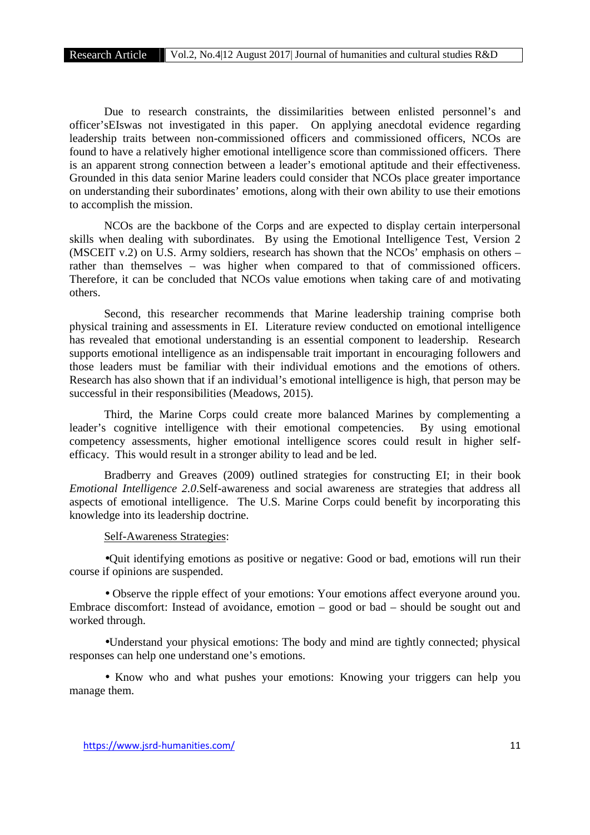Due to research constraints, the dissimilarities between enlisted personnel's and officer'sEIswas not investigated in this paper. On applying anecdotal evidence regarding leadership traits between non-commissioned officers and commissioned officers, NCOs are found to have a relatively higher emotional intelligence score than commissioned officers. There is an apparent strong connection between a leader's emotional aptitude and their effectiveness. Grounded in this data senior Marine leaders could consider that NCOs place greater importance on understanding their subordinates' emotions, along with their own ability to use their emotions to accomplish the mission.

NCOs are the backbone of the Corps and are expected to display certain interpersonal skills when dealing with subordinates. By using the Emotional Intelligence Test, Version 2 (MSCEIT v.2) on U.S. Army soldiers, research has shown that the NCOs' emphasis on others – rather than themselves – was higher when compared to that of commissioned officers. Therefore, it can be concluded that NCOs value emotions when taking care of and motivating others.

Second, this researcher recommends that Marine leadership training comprise both physical training and assessments in EI. Literature review conducted on emotional intelligence has revealed that emotional understanding is an essential component to leadership. Research supports emotional intelligence as an indispensable trait important in encouraging followers and those leaders must be familiar with their individual emotions and the emotions of others. Research has also shown that if an individual's emotional intelligence is high, that person may be successful in their responsibilities (Meadows, 2015).

Third, the Marine Corps could create more balanced Marines by complementing a leader's cognitive intelligence with their emotional competencies. By using emotional competency assessments, higher emotional intelligence scores could result in higher self efficacy. This would result in a stronger ability to lead and be led.

Bradberry and Greaves (2009) outlined strategies for constructing EI; in their book *Emotional Intelligence 2.0*.Self-awareness and social awareness are strategies that address all aspects of emotional intelligence. The U.S. Marine Corps could benefit by incorporating this knowledge into its leadership doctrine.

#### Self-Awareness Strategies:

Quit identifying emotions as positive or negative: Good or bad, emotions will run their course if opinions are suspended.

 Observe the ripple effect of your emotions: Your emotions affect everyone around you. Embrace discomfort: Instead of avoidance, emotion – good or bad – should be sought out and worked through.

Understand your physical emotions: The body and mind are tightly connected; physical responses can help one understand one's emotions.

• Know who and what pushes your emotions: Knowing your triggers can help you manage them.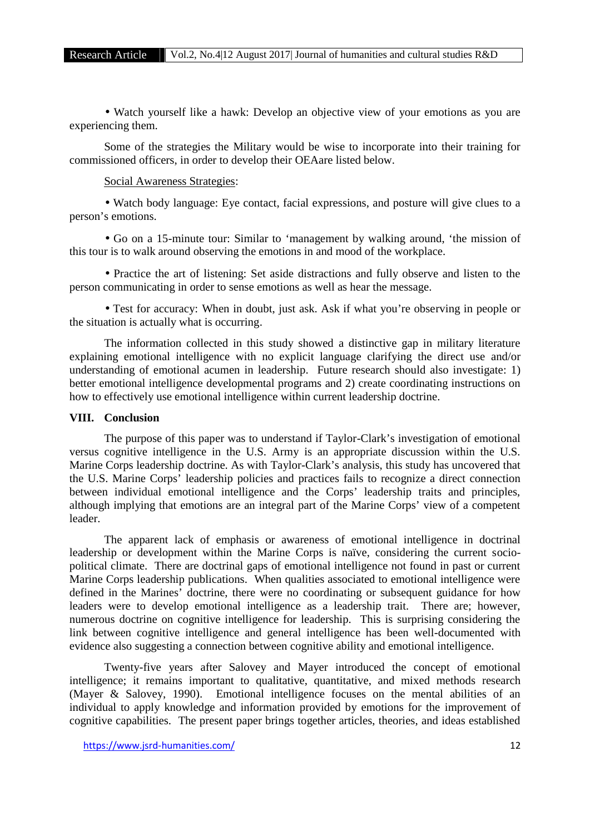Watch yourself like a hawk: Develop an objective view of your emotions as you are experiencing them.

Some of the strategies the Military would be wise to incorporate into their training for commissioned officers, in order to develop their OEAare listed below.

#### Social Awareness Strategies:

 Watch body language: Eye contact, facial expressions, and posture will give clues to a person's emotions.

 Go on a 15-minute tour: Similar to 'management by walking around, 'the mission of this tour is to walk around observing the emotions in and mood of the workplace.

 Practice the art of listening: Set aside distractions and fully observe and listen to the person communicating in order to sense emotions as well as hear the message.

• Test for accuracy: When in doubt, just ask. Ask if what you're observing in people or the situation is actually what is occurring.

The information collected in this study showed a distinctive gap in military literature explaining emotional intelligence with no explicit language clarifying the direct use and/or understanding of emotional acumen in leadership. Future research should also investigate: 1) better emotional intelligence developmental programs and 2) create coordinating instructions on how to effectively use emotional intelligence within current leadership doctrine.

#### **VIII. Conclusion**

The purpose of this paper was to understand if Taylor-Clark's investigation of emotional versus cognitive intelligence in the U.S. Army is an appropriate discussion within the U.S. Marine Corps leadership doctrine. As with Taylor-Clark's analysis, this study has uncovered that the U.S. Marine Corps' leadership policies and practices fails to recognize a direct connection between individual emotional intelligence and the Corps' leadership traits and principles, although implying that emotions are an integral part of the Marine Corps' view of a competent leader.

The apparent lack of emphasis or awareness of emotional intelligence in doctrinal leadership or development within the Marine Corps is naïve, considering the current socio political climate. There are doctrinal gaps of emotional intelligence not found in past or current Marine Corps leadership publications. When qualities associated to emotional intelligence were defined in the Marines' doctrine, there were no coordinating or subsequent guidance for how leaders were to develop emotional intelligence as a leadership trait. There are; however, numerous doctrine on cognitive intelligence for leadership. This is surprising considering the link between cognitive intelligence and general intelligence has been well-documented with evidence also suggesting a connection between cognitive ability and emotional intelligence.

Twenty-five years after Salovey and Mayer introduced the concept of emotional intelligence; it remains important to qualitative, quantitative, and mixed methods research (Mayer & Salovey, 1990). Emotional intelligence focuses on the mental abilities of an individual to apply knowledge and information provided by emotions for the improvement of cognitive capabilities. The present paper brings together articles, theories, and ideas established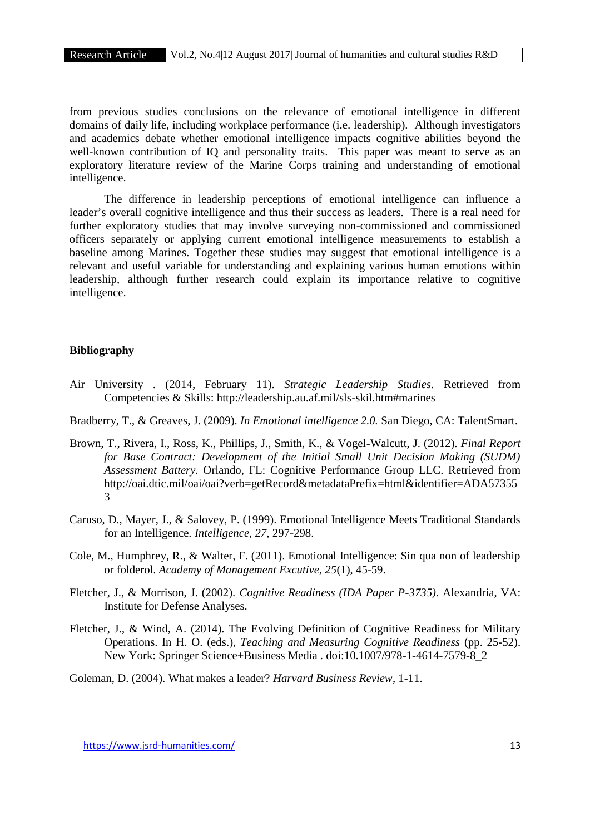from previous studies conclusions on the relevance of emotional intelligence in different domains of daily life, including workplace performance (i.e. leadership). Although investigators and academics debate whether emotional intelligence impacts cognitive abilities beyond the well-known contribution of IQ and personality traits. This paper was meant to serve as an exploratory literature review of the Marine Corps training and understanding of emotional intelligence.

The difference in leadership perceptions of emotional intelligence can influence a leader's overall cognitive intelligence and thus their success as leaders. There is a real need for further exploratory studies that may involve surveying non-commissioned and commissioned officers separately or applying current emotional intelligence measurements to establish a baseline among Marines. Together these studies may suggest that emotional intelligence is a relevant and useful variable for understanding and explaining various human emotions within leadership, although further research could explain its importance relative to cognitive intelligence.

#### **Bibliography**

- Air University . (2014, February 11). *Strategic Leadership Studies*. Retrieved from Competencies & Skills: http://leadership.au.af.mil/sls-skil.htm#marines
- Bradberry, T., & Greaves, J. (2009). *In Emotional intelligence 2.0.* San Diego, CA: TalentSmart.
- Brown, T., Rivera, I., Ross, K., Phillips, J., Smith, K., & Vogel-Walcutt, J. (2012). *Final Report for Base Contract: Development of the Initial Small Unit Decision Making (SUDM) Assessment Battery.* Orlando, FL: Cognitive Performance Group LLC. Retrieved from http://oai.dtic.mil/oai/oai?verb=getRecord&metadataPrefix=html&identifier=ADA57355 3
- Caruso, D., Mayer, J., & Salovey, P. (1999). Emotional Intelligence Meets Traditional Standards for an Intelligence. *Intelligence, 27*, 297-298.
- Cole, M., Humphrey, R., & Walter, F. (2011). Emotional Intelligence: Sin qua non of leadership or folderol. *Academy of Management Excutive, 25*(1), 45-59.
- Fletcher, J., & Morrison, J. (2002). *Cognitive Readiness (IDA Paper P-3735).* Alexandria, VA: Institute for Defense Analyses.
- Fletcher, J., & Wind, A. (2014). The Evolving Definition of Cognitive Readiness for Military Operations. In H. O. (eds.), *Teaching and Measuring Cognitive Readiness* (pp. 25-52). New York: Springer Science+Business Media . doi:10.1007/978-1-4614-7579-8\_2

Goleman, D. (2004). What makes a leader? *Harvard Business Review*, 1-11.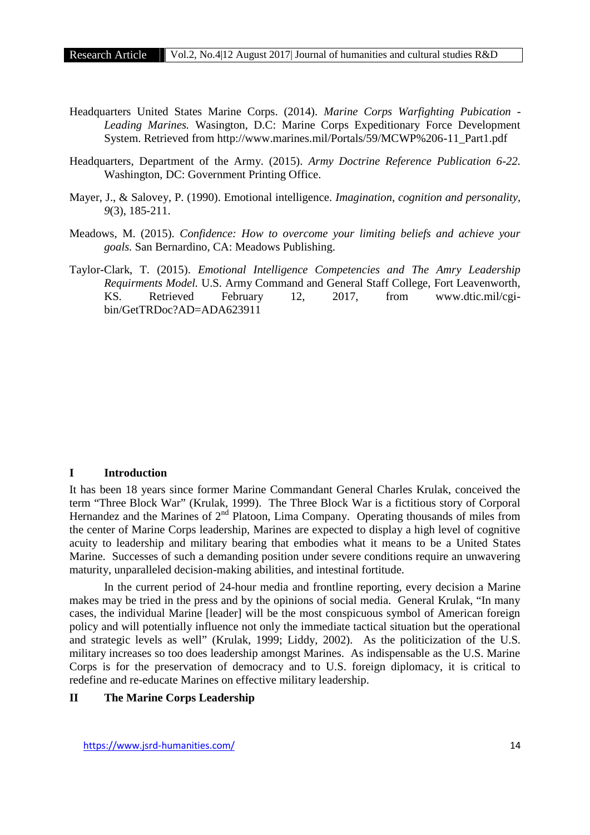- Headquarters United States Marine Corps. (2014). *Marine Corps Warfighting Pubication - Leading Marines.* Wasington, D.C: Marine Corps Expeditionary Force Development System. Retrieved from http://www.marines.mil/Portals/59/MCWP%206-11\_Part1.pdf
- Headquarters, Department of the Army. (2015). *Army Doctrine Reference Publication 6-22.* Washington, DC: Government Printing Office.
- Mayer, J., & Salovey, P. (1990). Emotional intelligence. *Imagination, cognition and personality, 9*(3), 185-211.
- Meadows, M. (2015). *Confidence: How to overcome your limiting beliefs and achieve your goals.* San Bernardino, CA: Meadows Publishing.
- Taylor-Clark, T. (2015). *Emotional Intelligence Competencies and The Amry Leadership Requirments Model.* U.S. Army Command and General Staff College, Fort Leavenworth, KS. Retrieved February 12, 2017, from www.dtic.mil/cgi bin/GetTRDoc?AD=ADA623911

# **I Introduction**

It has been 18 years since former Marine Commandant General Charles Krulak, conceived the term "Three Block War" (Krulak, 1999). The Three Block War is a fictitious story of Corporal Hernandez and the Marines of  $2<sup>nd</sup>$  Platoon, Lima Company. Operating thousands of miles from the center of Marine Corps leadership, Marines are expected to display a high level of cognitive acuity to leadership and military bearing that embodies what it means to be a United States Marine. Successes of such a demanding position under severe conditions require an unwavering maturity, unparalleled decision-making abilities, and intestinal fortitude.

In the current period of 24-hour media and frontline reporting, every decision a Marine makes may be tried in the press and by the opinions of social media. General Krulak, "In many cases, the individual Marine [leader] will be the most conspicuous symbol of American foreign policy and will potentially influence not only the immediate tactical situation but the operational and strategic levels as well" (Krulak, 1999; Liddy, 2002). As the politicization of the U.S. military increases so too does leadership amongst Marines. As indispensable as the U.S. Marine Corps is for the preservation of democracy and to U.S. foreign diplomacy, it is critical to redefine and re-educate Marines on effective military leadership.

# **II The Marine Corps Leadership**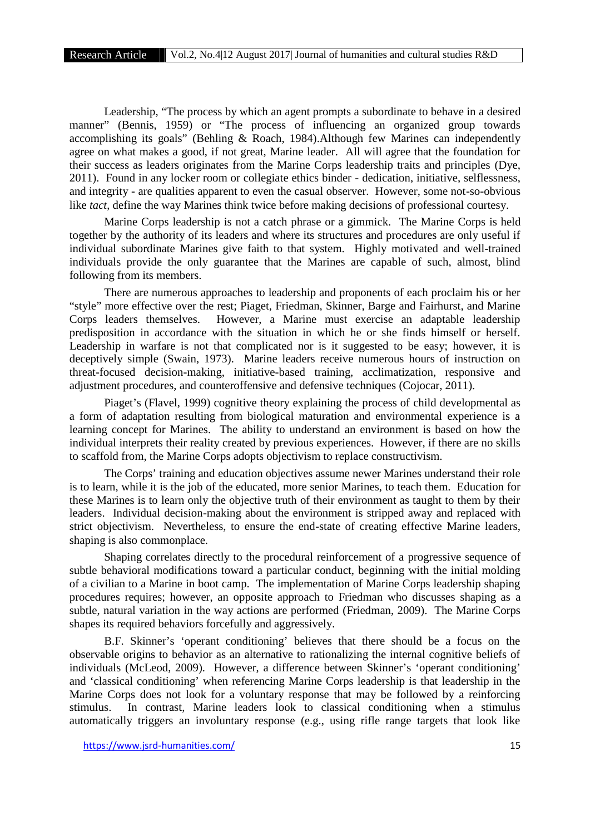Leadership, "The process by which an agent prompts a subordinate to behave in a desired manner" (Bennis, 1959) or "The process of influencing an organized group towards accomplishing its goals" (Behling & Roach, 1984).Although few Marines can independently agree on what makes a good, if not great, Marine leader. All will agree that the foundation for their success as leaders originates from the Marine Corps leadership traits and principles (Dye, 2011). Found in any locker room or collegiate ethics binder - dedication, initiative, selflessness, and integrity - are qualities apparent to even the casual observer. However, some not-so-obvious like *tact*, define the way Marines think twice before making decisions of professional courtesy.

Marine Corps leadership is not a catch phrase or a gimmick. The Marine Corps is held together by the authority of its leaders and where its structures and procedures are only useful if individual subordinate Marines give faith to that system. Highly motivated and well-trained individuals provide the only guarantee that the Marines are capable of such, almost, blind following from its members.

There are numerous approaches to leadership and proponents of each proclaim his or her "style" more effective over the rest; Piaget, Friedman, Skinner, Barge and Fairhurst, and Marine Corps leaders themselves. However, a Marine must exercise an adaptable leadership predisposition in accordance with the situation in which he or she finds himself or herself. Leadership in warfare is not that complicated nor is it suggested to be easy; however, it is deceptively simple (Swain, 1973). Marine leaders receive numerous hours of instruction on threat-focused decision-making, initiative-based training, acclimatization, responsive and adjustment procedures, and counteroffensive and defensive techniques (Cojocar, 2011).

Piaget's (Flavel, 1999) cognitive theory explaining the process of child developmental as a form of adaptation resulting from biological maturation and environmental experience is a learning concept for Marines. The ability to understand an environment is based on how the individual interprets their reality created by previous experiences. However, if there are no skills to scaffold from, the Marine Corps adopts objectivism to replace constructivism.

The Corps' training and education objectives assume newer Marines understand their role is to learn, while it is the job of the educated, more senior Marines, to teach them. Education for these Marines is to learn only the objective truth of their environment as taught to them by their leaders. Individual decision-making about the environment is stripped away and replaced with strict objectivism. Nevertheless, to ensure the end-state of creating effective Marine leaders, shaping is also commonplace.

Shaping correlates directly to the procedural reinforcement of a progressive sequence of subtle behavioral modifications toward a particular conduct, beginning with the initial molding of a civilian to a Marine in boot camp. The implementation of Marine Corps leadership shaping procedures requires; however, an opposite approach to Friedman who discusses shaping as a subtle, natural variation in the way actions are performed (Friedman, 2009). The Marine Corps shapes its required behaviors forcefully and aggressively.

B.F. Skinner's 'operant conditioning' believes that there should be a focus on the observable origins to behavior as an alternative to rationalizing the internal cognitive beliefs of individuals (McLeod, 2009). However, a difference between Skinner's 'operant conditioning' and 'classical conditioning' when referencing Marine Corps leadership is that leadership in the Marine Corps does not look for a voluntary response that may be followed by a reinforcing stimulus. In contrast, Marine leaders look to classical conditioning when a stimulus automatically triggers an involuntary response (e.g., using rifle range targets that look like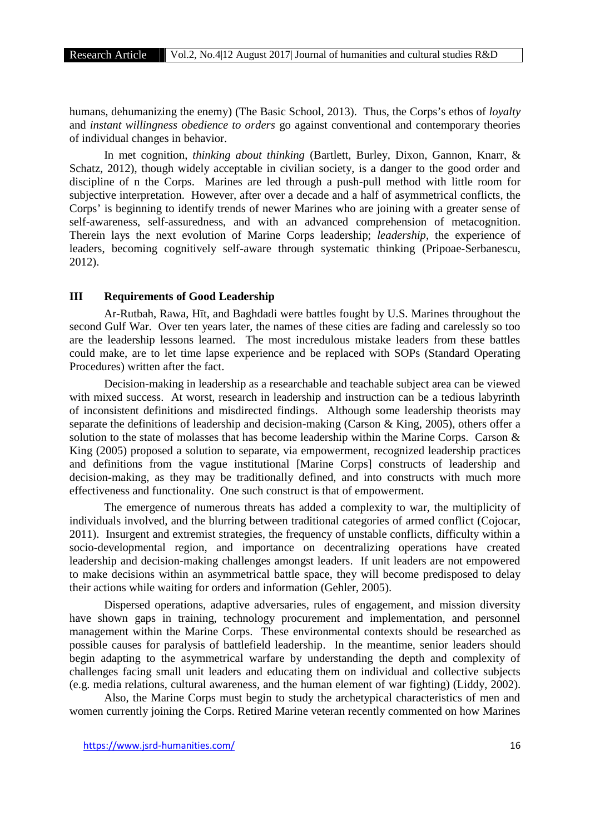humans, dehumanizing the enemy) (The Basic School, 2013). Thus, the Corps's ethos of *loyalty* and *instant willingness obedience to orders* go against conventional and contemporary theories of individual changes in behavior.

In met cognition, *thinking about thinking* (Bartlett, Burley, Dixon, Gannon, Knarr, & Schatz, 2012), though widely acceptable in civilian society, is a danger to the good order and discipline of n the Corps. Marines are led through a push-pull method with little room for subjective interpretation. However, after over a decade and a half of asymmetrical conflicts, the Corps' is beginning to identify trends of newer Marines who are joining with a greater sense of self-awareness, self-assuredness, and with an advanced comprehension of metacognition. Therein lays the next evolution of Marine Corps leadership; *leadership*, the experience of leaders, becoming cognitively self-aware through systematic thinking (Pripoae-Serbanescu, 2012).

## **III Requirements of Good Leadership**

Ar-Rutbah, Rawa, H t, and Baghdadi were battles fought by U.S. Marines throughout the second Gulf War. Over ten years later, the names of these cities are fading and carelessly so too are the leadership lessons learned. The most incredulous mistake leaders from these battles could make, are to let time lapse experience and be replaced with SOPs (Standard Operating Procedures) written after the fact.

Decision-making in leadership as a researchable and teachable subject area can be viewed with mixed success. At worst, research in leadership and instruction can be a tedious labyrinth of inconsistent definitions and misdirected findings. Although some leadership theorists may separate the definitions of leadership and decision-making (Carson & King, 2005), others offer a solution to the state of molasses that has become leadership within the Marine Corps. Carson & King (2005) proposed a solution to separate, via empowerment, recognized leadership practices and definitions from the vague institutional [Marine Corps] constructs of leadership and decision-making, as they may be traditionally defined, and into constructs with much more effectiveness and functionality. One such construct is that of empowerment.

The emergence of numerous threats has added a complexity to war, the multiplicity of individuals involved, and the blurring between traditional categories of armed conflict (Cojocar, 2011). Insurgent and extremist strategies, the frequency of unstable conflicts, difficulty within a socio-developmental region, and importance on decentralizing operations have created leadership and decision-making challenges amongst leaders. If unit leaders are not empowered to make decisions within an asymmetrical battle space, they will become predisposed to delay their actions while waiting for orders and information (Gehler, 2005).

Dispersed operations, adaptive adversaries, rules of engagement, and mission diversity have shown gaps in training, technology procurement and implementation, and personnel management within the Marine Corps. These environmental contexts should be researched as possible causes for paralysis of battlefield leadership. In the meantime, senior leaders should begin adapting to the asymmetrical warfare by understanding the depth and complexity of challenges facing small unit leaders and educating them on individual and collective subjects (e.g. media relations, cultural awareness, and the human element of war fighting) (Liddy, 2002).

Also, the Marine Corps must begin to study the archetypical characteristics of men and women currently joining the Corps. Retired Marine veteran recently commented on how Marines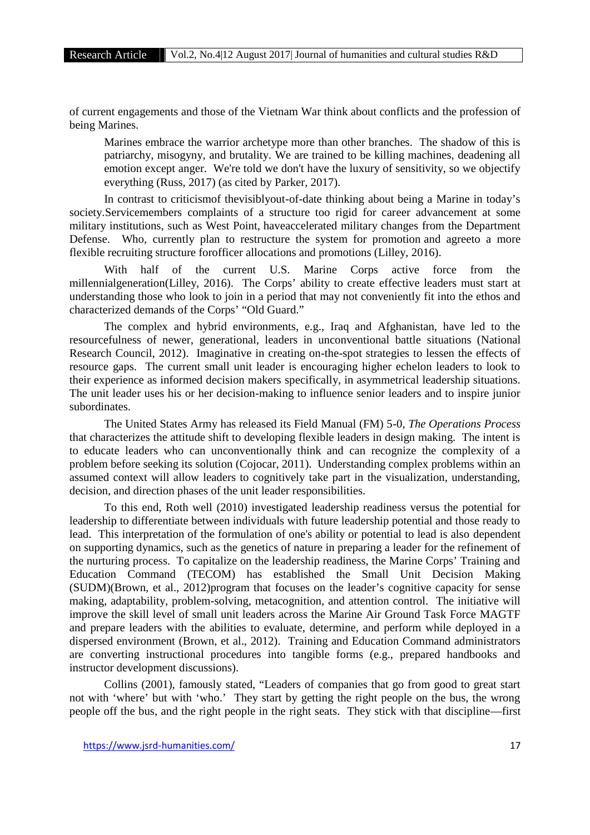of current engagements and those of the Vietnam War think about conflicts and the profession of being Marines.

Marines embrace the warrior archetype more than other branches. The shadow of this is patriarchy, misogyny, and brutality. We are trained to be killing machines, deadening all emotion except anger. We're told we don't have the luxury of sensitivity, so we objectify everything (Russ, 2017) (as cited by Parker, 2017).

In contrast to criticismof thevisiblyout-of-date thinking about being a Marine in today's society.Servicemembers complaints of a structure too rigid for career advancement at some military institutions, such as West Point, haveaccelerated military changes from the Department Defense. Who, currently plan to restructure the system for promotion and agreeto a more flexible recruiting structure forofficer allocations and promotions (Lilley, 2016).

With half of the current U.S. Marine Corps active force from the millennialgeneration(Lilley, 2016). The Corps' ability to create effective leaders must start at understanding those who look to join in a period that may not conveniently fit into the ethos and characterized demands of the Corps' "Old Guard."

The complex and hybrid environments, e.g., Iraq and Afghanistan, have led to the resourcefulness of newer, generational, leaders in unconventional battle situations (National Research Council, 2012). Imaginative in creating on-the-spot strategies to lessen the effects of resource gaps. The current small unit leader is encouraging higher echelon leaders to look to their experience as informed decision makers specifically, in asymmetrical leadership situations. The unit leader uses his or her decision-making to influence senior leaders and to inspire junior subordinates.

The United States Army has released its Field Manual (FM) 5-0, *The Operations Process* that characterizes the attitude shift to developing flexible leaders in design making. The intent is to educate leaders who can unconventionally think and can recognize the complexity of a problem before seeking its solution (Cojocar, 2011). Understanding complex problems within an assumed context will allow leaders to cognitively take part in the visualization, understanding, decision, and direction phases of the unit leader responsibilities.

To this end, Roth well (2010) investigated leadership readiness versus the potential for leadership to differentiate between individuals with future leadership potential and those ready to lead. This interpretation of the formulation of one's ability or potential to lead is also dependent on supporting dynamics, such as the genetics of nature in preparing a leader for the refinement of the nurturing process. To capitalize on the leadership readiness, the Marine Corps' Training and Education Command (TECOM) has established the Small Unit Decision Making (SUDM)(Brown, et al., 2012)program that focuses on the leader's cognitive capacity for sense making, adaptability, problem-solving, metacognition, and attention control. The initiative will improve the skill level of small unit leaders across the Marine Air Ground Task Force MAGTF and prepare leaders with the abilities to evaluate, determine, and perform while deployed in a dispersed environment (Brown, et al., 2012). Training and Education Command administrators are converting instructional procedures into tangible forms (e.g., prepared handbooks and instructor development discussions).

Collins (2001), famously stated, "Leaders of companies that go from good to great start not with 'where' but with 'who.' They start by getting the right people on the bus, the wrong people off the bus, and the right people in the right seats. They stick with that discipline—first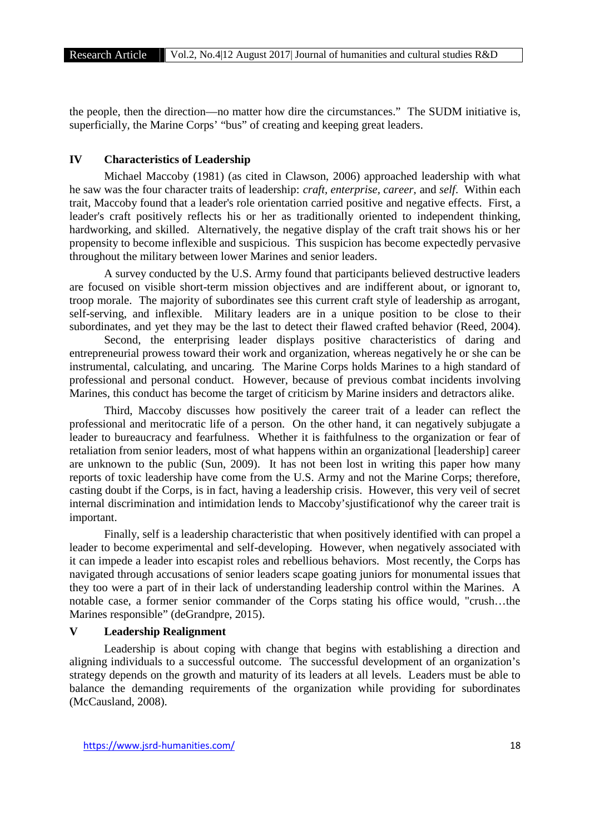the people, then the direction—no matter how dire the circumstances." The SUDM initiative is, superficially, the Marine Corps' "bus" of creating and keeping great leaders.

# **IV Characteristics of Leadership**

Michael Maccoby (1981) (as cited in Clawson, 2006) approached leadership with what he saw was the four character traits of leadership: *craft, enterprise, career,* and *self*. Within each trait, Maccoby found that a leader's role orientation carried positive and negative effects. First, a leader's craft positively reflects his or her as traditionally oriented to independent thinking, hardworking, and skilled. Alternatively, the negative display of the craft trait shows his or her propensity to become inflexible and suspicious. This suspicion has become expectedly pervasive throughout the military between lower Marines and senior leaders.

A survey conducted by the U.S. Army found that participants believed destructive leaders are focused on visible short-term mission objectives and are indifferent about, or ignorant to, troop morale. The majority of subordinates see this current craft style of leadership as arrogant, self-serving, and inflexible. Military leaders are in a unique position to be close to their subordinates, and yet they may be the last to detect their flawed crafted behavior (Reed, 2004).

Second, the enterprising leader displays positive characteristics of daring and entrepreneurial prowess toward their work and organization, whereas negatively he or she can be instrumental, calculating, and uncaring. The Marine Corps holds Marines to a high standard of professional and personal conduct. However, because of previous combat incidents involving Marines, this conduct has become the target of criticism by Marine insiders and detractors alike.

Third, Maccoby discusses how positively the career trait of a leader can reflect the professional and meritocratic life of a person. On the other hand, it can negatively subjugate a leader to bureaucracy and fearfulness. Whether it is faithfulness to the organization or fear of retaliation from senior leaders, most of what happens within an organizational [leadership] career are unknown to the public (Sun, 2009). It has not been lost in writing this paper how many reports of toxic leadership have come from the U.S. Army and not the Marine Corps; therefore, casting doubt if the Corps, is in fact, having a leadership crisis. However, this very veil of secret internal discrimination and intimidation lends to Maccoby'sjustificationof why the career trait is important.

Finally, self is a leadership characteristic that when positively identified with can propel a leader to become experimental and self-developing. However, when negatively associated with it can impede a leader into escapist roles and rebellious behaviors. Most recently, the Corps has navigated through accusations of senior leaders scape goating juniors for monumental issues that they too were a part of in their lack of understanding leadership control within the Marines. A notable case, a former senior commander of the Corps stating his office would, "crush…the Marines responsible" (deGrandpre, 2015).

#### **V Leadership Realignment**

Leadership is about coping with change that begins with establishing a direction and aligning individuals to a successful outcome. The successful development of an organization's strategy depends on the growth and maturity of its leaders at all levels. Leaders must be able to balance the demanding requirements of the organization while providing for subordinates (McCausland, 2008).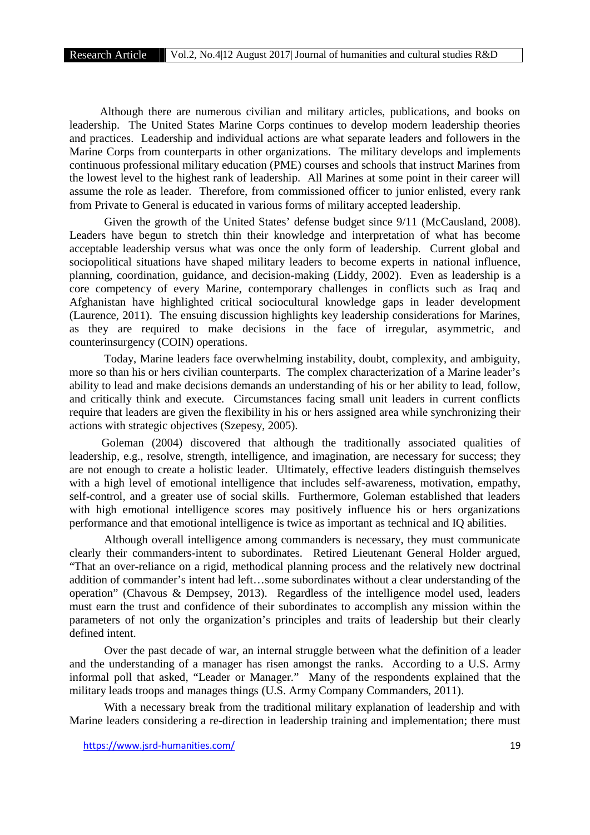Although there are numerous civilian and military articles, publications, and books on leadership. The United States Marine Corps continues to develop modern leadership theories and practices. Leadership and individual actions are what separate leaders and followers in the Marine Corps from counterparts in other organizations. The military develops and implements continuous professional military education (PME) courses and schools that instruct Marines from the lowest level to the highest rank of leadership. All Marines at some point in their career will assume the role as leader. Therefore, from commissioned officer to junior enlisted, every rank from Private to General is educated in various forms of military accepted leadership.

Given the growth of the United States' defense budget since 9/11 (McCausland, 2008). Leaders have begun to stretch thin their knowledge and interpretation of what has become acceptable leadership versus what was once the only form of leadership. Current global and sociopolitical situations have shaped military leaders to become experts in national influence, planning, coordination, guidance, and decision-making (Liddy, 2002). Even as leadership is a core competency of every Marine, contemporary challenges in conflicts such as Iraq and Afghanistan have highlighted critical sociocultural knowledge gaps in leader development (Laurence, 2011). The ensuing discussion highlights key leadership considerations for Marines, as they are required to make decisions in the face of irregular, asymmetric, and counterinsurgency (COIN) operations.

Today, Marine leaders face overwhelming instability, doubt, complexity, and ambiguity, more so than his or hers civilian counterparts. The complex characterization of a Marine leader's ability to lead and make decisions demands an understanding of his or her ability to lead, follow, and critically think and execute. Circumstances facing small unit leaders in current conflicts require that leaders are given the flexibility in his or hers assigned area while synchronizing their actions with strategic objectives (Szepesy, 2005).

Goleman (2004) discovered that although the traditionally associated qualities of leadership, e.g., resolve, strength, intelligence, and imagination, are necessary for success; they are not enough to create a holistic leader. Ultimately, effective leaders distinguish themselves with a high level of emotional intelligence that includes self-awareness, motivation, empathy, self-control, and a greater use of social skills. Furthermore, Goleman established that leaders with high emotional intelligence scores may positively influence his or hers organizations performance and that emotional intelligence is twice as important as technical and IQ abilities.

Although overall intelligence among commanders is necessary, they must communicate clearly their commanders-intent to subordinates. Retired Lieutenant General Holder argued, "That an over-reliance on a rigid, methodical planning process and the relatively new doctrinal addition of commander's intent had left…some subordinates without a clear understanding of the operation" (Chavous & Dempsey, 2013). Regardless of the intelligence model used, leaders must earn the trust and confidence of their subordinates to accomplish any mission within the parameters of not only the organization's principles and traits of leadership but their clearly defined intent.

Over the past decade of war, an internal struggle between what the definition of a leader and the understanding of a manager has risen amongst the ranks. According to a U.S. Army informal poll that asked, "Leader or Manager." Many of the respondents explained that the military leads troops and manages things (U.S. Army Company Commanders, 2011).

With a necessary break from the traditional military explanation of leadership and with Marine leaders considering a re-direction in leadership training and implementation; there must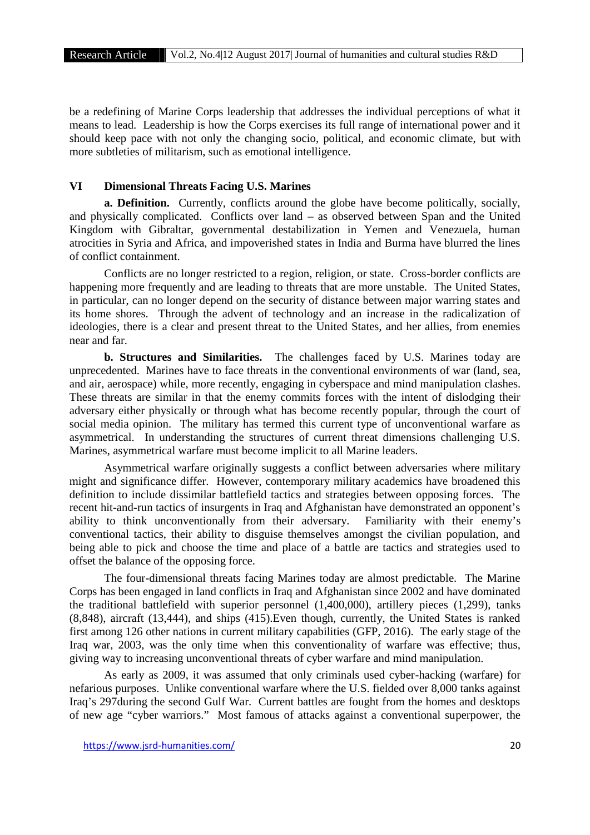be a redefining of Marine Corps leadership that addresses the individual perceptions of what it means to lead. Leadership is how the Corps exercises its full range of international power and it should keep pace with not only the changing socio, political, and economic climate, but with more subtleties of militarism, such as emotional intelligence.

#### **VI Dimensional Threats Facing U.S. Marines**

**a. Definition.** Currently, conflicts around the globe have become politically, socially, and physically complicated. Conflicts over land – as observed between Span and the United Kingdom with Gibraltar, governmental destabilization in Yemen and Venezuela, human atrocities in Syria and Africa, and impoverished states in India and Burma have blurred the lines of conflict containment.

Conflicts are no longer restricted to a region, religion, or state. Cross-border conflicts are happening more frequently and are leading to threats that are more unstable. The United States, in particular, can no longer depend on the security of distance between major warring states and its home shores. Through the advent of technology and an increase in the radicalization of ideologies, there is a clear and present threat to the United States, and her allies, from enemies near and far.

**b. Structures and Similarities.** The challenges faced by U.S. Marines today are unprecedented. Marines have to face threats in the conventional environments of war (land, sea, and air, aerospace) while, more recently, engaging in cyberspace and mind manipulation clashes. These threats are similar in that the enemy commits forces with the intent of dislodging their adversary either physically or through what has become recently popular, through the court of social media opinion. The military has termed this current type of unconventional warfare as asymmetrical. In understanding the structures of current threat dimensions challenging U.S. Marines, asymmetrical warfare must become implicit to all Marine leaders.

Asymmetrical warfare originally suggests a conflict between adversaries where military might and significance differ. However, contemporary military academics have broadened this definition to include dissimilar battlefield tactics and strategies between opposing forces. The recent hit-and-run tactics of insurgents in Iraq and Afghanistan have demonstrated an opponent's ability to think unconventionally from their adversary. Familiarity with their enemy's conventional tactics, their ability to disguise themselves amongst the civilian population, and being able to pick and choose the time and place of a battle are tactics and strategies used to offset the balance of the opposing force.

The four-dimensional threats facing Marines today are almost predictable. The Marine Corps has been engaged in land conflicts in Iraq and Afghanistan since 2002 and have dominated the traditional battlefield with superior personnel (1,400,000), artillery pieces (1,299), tanks (8,848), aircraft (13,444), and ships (415).Even though, currently, the United States is ranked first among 126 other nations in current military capabilities (GFP, 2016). The early stage of the Iraq war, 2003, was the only time when this conventionality of warfare was effective; thus, giving way to increasing unconventional threats of cyber warfare and mind manipulation.

As early as 2009, it was assumed that only criminals used cyber-hacking (warfare) for nefarious purposes. Unlike conventional warfare where the U.S. fielded over 8,000 tanks against Iraq's 297during the second Gulf War. Current battles are fought from the homes and desktops of new age "cyber warriors." Most famous of attacks against a conventional superpower, the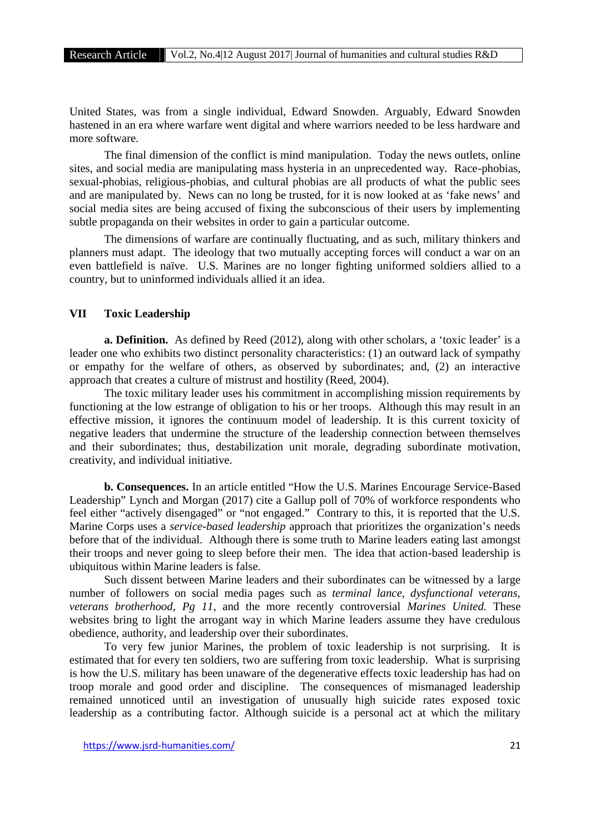United States, was from a single individual, Edward Snowden. Arguably, Edward Snowden hastened in an era where warfare went digital and where warriors needed to be less hardware and more software.

The final dimension of the conflict is mind manipulation. Today the news outlets, online sites, and social media are manipulating mass hysteria in an unprecedented way. Race-phobias, sexual-phobias, religious-phobias, and cultural phobias are all products of what the public sees and are manipulated by. News can no long be trusted, for it is now looked at as 'fake news' and social media sites are being accused of fixing the subconscious of their users by implementing subtle propaganda on their websites in order to gain a particular outcome.

The dimensions of warfare are continually fluctuating, and as such, military thinkers and planners must adapt. The ideology that two mutually accepting forces will conduct a war on an even battlefield is naïve. U.S. Marines are no longer fighting uniformed soldiers allied to a country, but to uninformed individuals allied it an idea.

## **VII Toxic Leadership**

**a. Definition.** As defined by Reed (2012), along with other scholars, a 'toxic leader' is a leader one who exhibits two distinct personality characteristics: (1) an outward lack of sympathy or empathy for the welfare of others, as observed by subordinates; and, (2) an interactive approach that creates a culture of mistrust and hostility (Reed, 2004).

The toxic military leader uses his commitment in accomplishing mission requirements by functioning at the low estrange of obligation to his or her troops. Although this may result in an effective mission, it ignores the continuum model of leadership. It is this current toxicity of negative leaders that undermine the structure of the leadership connection between themselves and their subordinates; thus, destabilization unit morale, degrading subordinate motivation, creativity, and individual initiative.

**b. Consequences.** In an article entitled "How the U.S. Marines Encourage Service-Based Leadership" Lynch and Morgan (2017) cite a Gallup poll of 70% of workforce respondents who feel either "actively disengaged" or "not engaged." Contrary to this, it is reported that the U.S. Marine Corps uses a *service-based leadership* approach that prioritizes the organization's needs before that of the individual. Although there is some truth to Marine leaders eating last amongst their troops and never going to sleep before their men. The idea that action-based leadership is ubiquitous within Marine leaders is false.

Such dissent between Marine leaders and their subordinates can be witnessed by a large number of followers on social media pages such as *terminal lance, dysfunctional veterans, veterans brotherhood, Pg 11,* and the more recently controversial *Marines United.* These websites bring to light the arrogant way in which Marine leaders assume they have credulous obedience, authority, and leadership over their subordinates.

To very few junior Marines, the problem of toxic leadership is not surprising. It is estimated that for every ten soldiers, two are suffering from toxic leadership. What is surprising is how the U.S. military has been unaware of the degenerative effects toxic leadership has had on troop morale and good order and discipline. The consequences of mismanaged leadership remained unnoticed until an investigation of unusually high suicide rates exposed toxic leadership as a contributing factor. Although suicide is a personal act at which the military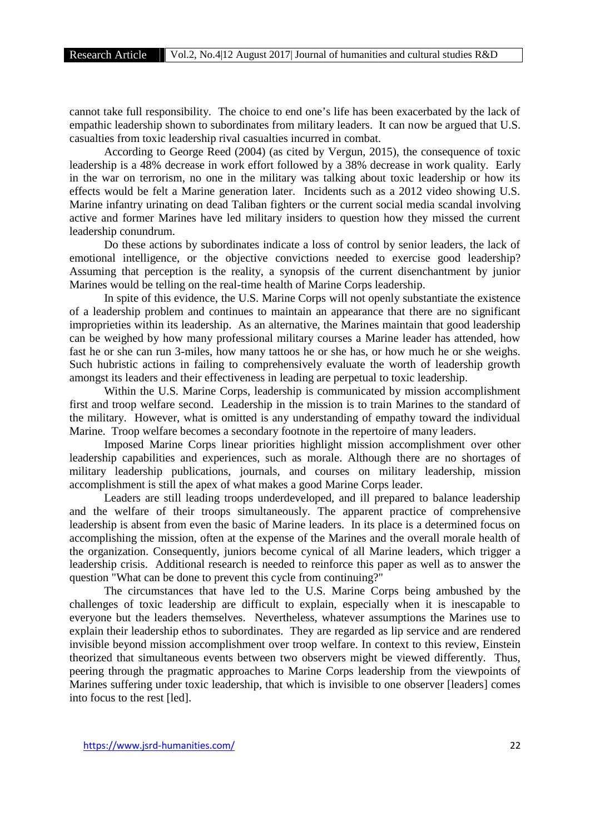cannot take full responsibility. The choice to end one's life has been exacerbated by the lack of empathic leadership shown to subordinates from military leaders. It can now be argued that U.S. casualties from toxic leadership rival casualties incurred in combat.

According to George Reed (2004) (as cited by Vergun, 2015), the consequence of toxic leadership is a 48% decrease in work effort followed by a 38% decrease in work quality. Early in the war on terrorism, no one in the military was talking about toxic leadership or how its effects would be felt a Marine generation later. Incidents such as a 2012 video showing U.S. Marine infantry urinating on dead Taliban fighters or the current social media scandal involving active and former Marines have led military insiders to question how they missed the current leadership conundrum.

Do these actions by subordinates indicate a loss of control by senior leaders, the lack of emotional intelligence, or the objective convictions needed to exercise good leadership? Assuming that perception is the reality, a synopsis of the current disenchantment by junior Marines would be telling on the real-time health of Marine Corps leadership.

In spite of this evidence, the U.S. Marine Corps will not openly substantiate the existence of a leadership problem and continues to maintain an appearance that there are no significant improprieties within its leadership. As an alternative, the Marines maintain that good leadership can be weighed by how many professional military courses a Marine leader has attended, how fast he or she can run 3-miles, how many tattoos he or she has, or how much he or she weighs. Such hubristic actions in failing to comprehensively evaluate the worth of leadership growth amongst its leaders and their effectiveness in leading are perpetual to toxic leadership.

Within the U.S. Marine Corps, leadership is communicated by mission accomplishment first and troop welfare second. Leadership in the mission is to train Marines to the standard of the military. However, what is omitted is any understanding of empathy toward the individual Marine. Troop welfare becomes a secondary footnote in the repertoire of many leaders.

Imposed Marine Corps linear priorities highlight mission accomplishment over other leadership capabilities and experiences, such as morale. Although there are no shortages of military leadership publications, journals, and courses on military leadership, mission accomplishment is still the apex of what makes a good Marine Corps leader.

Leaders are still leading troops underdeveloped, and ill prepared to balance leadership and the welfare of their troops simultaneously. The apparent practice of comprehensive leadership is absent from even the basic of Marine leaders. In its place is a determined focus on accomplishing the mission, often at the expense of the Marines and the overall morale health of the organization. Consequently, juniors become cynical of all Marine leaders, which trigger a leadership crisis. Additional research is needed to reinforce this paper as well as to answer the question "What can be done to prevent this cycle from continuing?"

The circumstances that have led to the U.S. Marine Corps being ambushed by the challenges of toxic leadership are difficult to explain, especially when it is inescapable to everyone but the leaders themselves. Nevertheless, whatever assumptions the Marines use to explain their leadership ethos to subordinates. They are regarded as lip service and are rendered invisible beyond mission accomplishment over troop welfare. In context to this review, Einstein theorized that simultaneous events between two observers might be viewed differently. Thus, peering through the pragmatic approaches to Marine Corps leadership from the viewpoints of Marines suffering under toxic leadership, that which is invisible to one observer [leaders] comes into focus to the rest [led].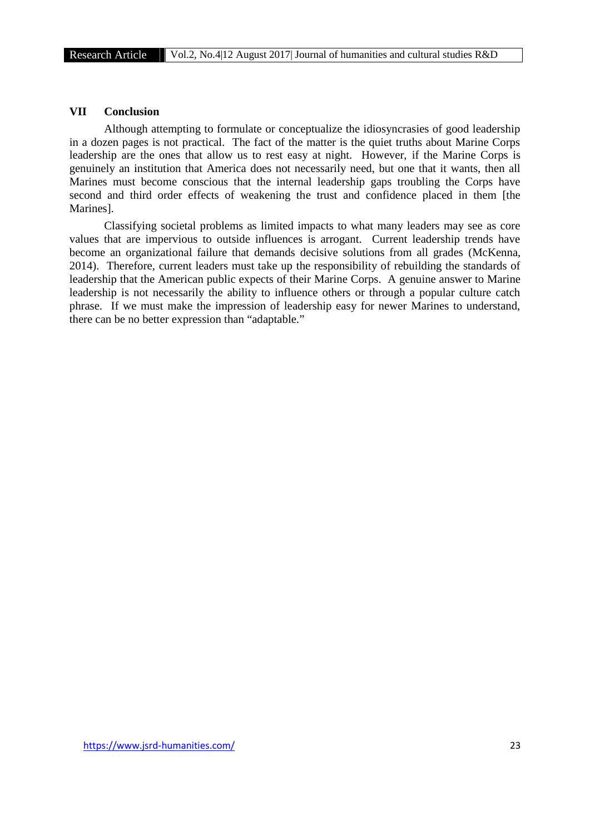# **VII Conclusion**

Although attempting to formulate or conceptualize the idiosyncrasies of good leadership in a dozen pages is not practical. The fact of the matter is the quiet truths about Marine Corps leadership are the ones that allow us to rest easy at night. However, if the Marine Corps is genuinely an institution that America does not necessarily need, but one that it wants, then all Marines must become conscious that the internal leadership gaps troubling the Corps have second and third order effects of weakening the trust and confidence placed in them [the Marines].

Classifying societal problems as limited impacts to what many leaders may see as core values that are impervious to outside influences is arrogant. Current leadership trends have become an organizational failure that demands decisive solutions from all grades (McKenna, 2014). Therefore, current leaders must take up the responsibility of rebuilding the standards of leadership that the American public expects of their Marine Corps. A genuine answer to Marine leadership is not necessarily the ability to influence others or through a popular culture catch phrase. If we must make the impression of leadership easy for newer Marines to understand, there can be no better expression than "adaptable."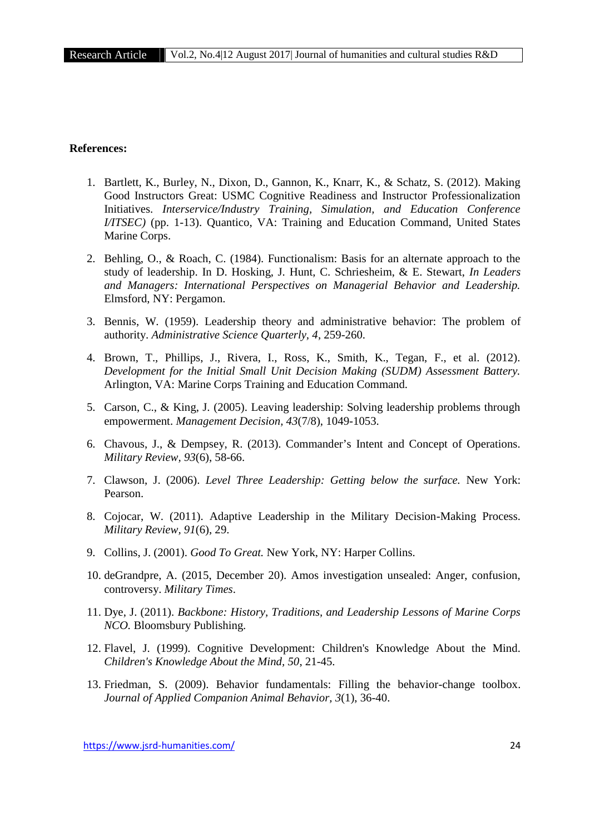# **References:**

- 1. Bartlett, K., Burley, N., Dixon, D., Gannon, K., Knarr, K., & Schatz, S. (2012). Making Good Instructors Great: USMC Cognitive Readiness and Instructor Professionalization Initiatives. *Interservice/Industry Training, Simulation, and Education Conference I/ITSEC)* (pp. 1-13). Quantico, VA: Training and Education Command, United States Marine Corps.
- 2. Behling, O., & Roach, C. (1984). Functionalism: Basis for an alternate approach to the study of leadership. In D. Hosking, J. Hunt, C. Schriesheim, & E. Stewart, *In Leaders and Managers: International Perspectives on Managerial Behavior and Leadership.* Elmsford, NY: Pergamon.
- 3. Bennis, W. (1959). Leadership theory and administrative behavior: The problem of authority. *Administrative Science Quarterly, 4*, 259-260.
- 4. Brown, T., Phillips, J., Rivera, I., Ross, K., Smith, K., Tegan, F., et al. (2012). *Development for the Initial Small Unit Decision Making (SUDM) Assessment Battery.* Arlington, VA: Marine Corps Training and Education Command.
- 5. Carson, C., & King, J. (2005). Leaving leadership: Solving leadership problems through empowerment. *Management Decision, 43*(7/8), 1049-1053.
- 6. Chavous, J., & Dempsey, R. (2013). Commander's Intent and Concept of Operations. *Military Review, 93*(6), 58-66.
- 7. Clawson, J. (2006). *Level Three Leadership: Getting below the surface.* New York: Pearson.
- 8. Cojocar, W. (2011). Adaptive Leadership in the Military Decision-Making Process. *Military Review, 91*(6), 29.
- 9. Collins, J. (2001). *Good To Great.* New York, NY: Harper Collins.
- 10. deGrandpre, A. (2015, December 20). Amos investigation unsealed: Anger, confusion, controversy. *Military Times*.
- 11. Dye, J. (2011). *Backbone: History, Traditions, and Leadership Lessons of Marine Corps NCO.* Bloomsbury Publishing.
- 12. Flavel, J. (1999). Cognitive Development: Children's Knowledge About the Mind. *Children's Knowledge About the Mind, 50*, 21-45.
- 13. Friedman, S. (2009). Behavior fundamentals: Filling the behavior-change toolbox. *Journal of Applied Companion Animal Behavior, 3*(1), 36-40.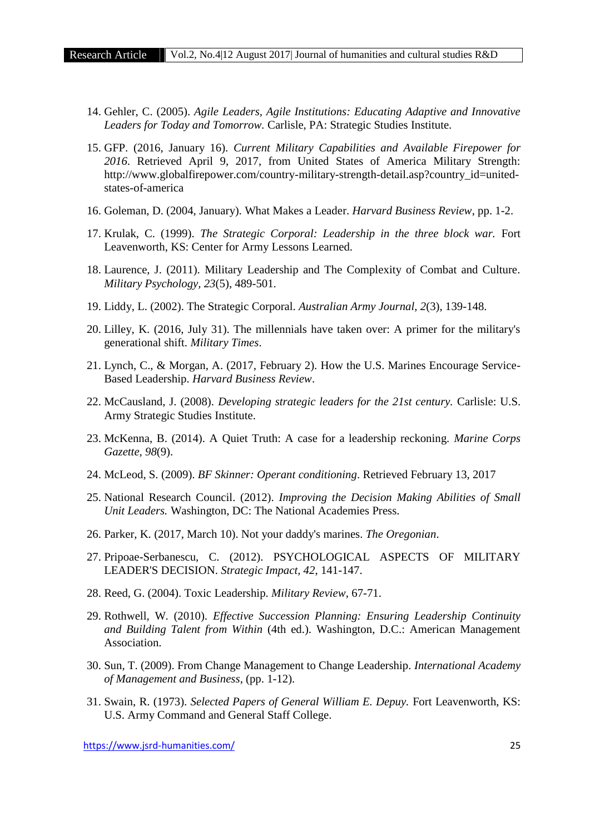- 14. Gehler, C. (2005). *Agile Leaders, Agile Institutions: Educating Adaptive and Innovative Leaders for Today and Tomorrow.* Carlisle, PA: Strategic Studies Institute.
- 15. GFP. (2016, January 16). *Current Military Capabilities and Available Firepower for 2016*. Retrieved April 9, 2017, from United States of America Military Strength: http://www.globalfirepower.com/country-military-strength-detail.asp?country\_id=united states-of-america
- 16. Goleman, D. (2004, January). What Makes a Leader. *Harvard Business Review*, pp. 1-2.
- 17. Krulak, C. (1999). *The Strategic Corporal: Leadership in the three block war.* Fort Leavenworth, KS: Center for Army Lessons Learned.
- 18. Laurence, J. (2011). Military Leadership and The Complexity of Combat and Culture. *Military Psychology, 23*(5), 489-501.
- 19. Liddy, L. (2002). The Strategic Corporal. *Australian Army Journal, 2*(3), 139-148.
- 20. Lilley, K. (2016, July 31). The millennials have taken over: A primer for the military's generational shift. *Military Times*.
- 21. Lynch, C., & Morgan, A. (2017, February 2). How the U.S. Marines Encourage Service- Based Leadership. *Harvard Business Review*.
- 22. McCausland, J. (2008). *Developing strategic leaders for the 21st century.* Carlisle: U.S. Army Strategic Studies Institute.
- 23. McKenna, B. (2014). A Quiet Truth: A case for a leadership reckoning. *Marine Corps Gazette, 98*(9).
- 24. McLeod, S. (2009). *BF Skinner: Operant conditioning*. Retrieved February 13, 2017
- 25. National Research Council. (2012). *Improving the Decision Making Abilities of Small Unit Leaders.* Washington, DC: The National Academies Press.
- 26. Parker, K. (2017, March 10). Not your daddy's marines. *The Oregonian*.
- 27. Pripoae-Serbanescu, C. (2012). PSYCHOLOGICAL ASPECTS OF MILITARY LEADER'S DECISION. *Strategic Impact, 42*, 141-147.
- 28. Reed, G. (2004). Toxic Leadership. *Military Review*, 67-71.
- 29. Rothwell, W. (2010). *Effective Succession Planning: Ensuring Leadership Continuity and Building Talent from Within* (4th ed.). Washington, D.C.: American Management Association.
- 30. Sun, T. (2009). From Change Management to Change Leadership. *International Academy of Management and Business*, (pp. 1-12).
- 31. Swain, R. (1973). *Selected Papers of General William E. Depuy.* Fort Leavenworth, KS: U.S. Army Command and General Staff College.

https://www.jsrd-humanities.com/ 25